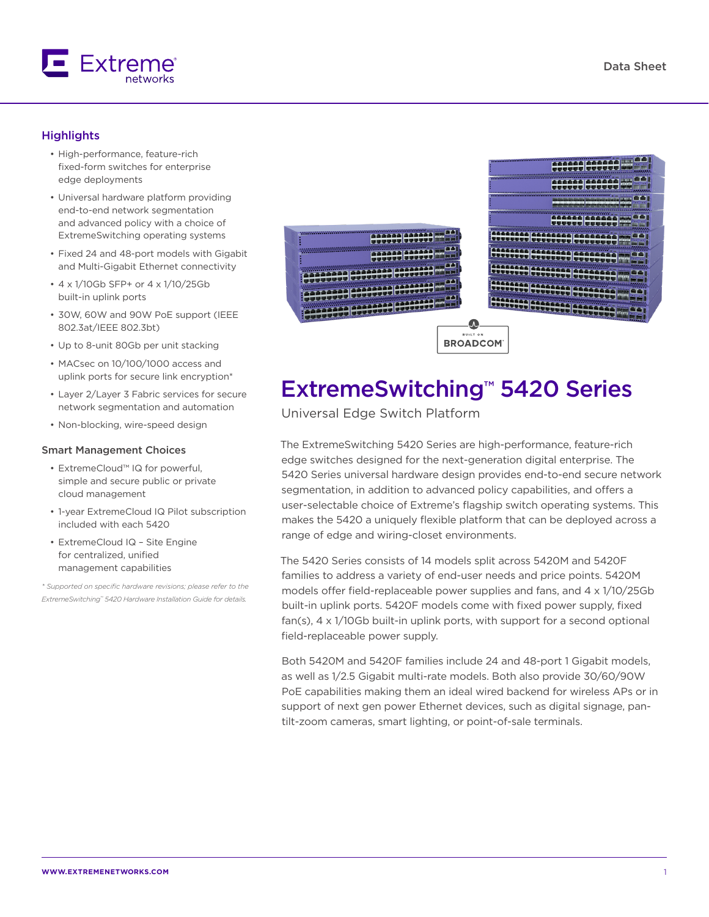

#### **Highlights**

- High-performance, feature-rich fixed-form switches for enterprise edge deployments
- Universal hardware platform providing end-to-end network segmentation and advanced policy with a choice of ExtremeSwitching operating systems
- Fixed 24 and 48-port models with Gigabit and Multi-Gigabit Ethernet connectivity
- 4 x 1/10Gb SFP+ or 4 x 1/10/25Gb built-in uplink ports
- 30W, 60W and 90W PoE support (IEEE 802.3at/IEEE 802.3bt)
- Up to 8-unit 80Gb per unit stacking
- MACsec on 10/100/1000 access and uplink ports for secure link encryption\*
- Layer 2/Layer 3 Fabric services for secure network segmentation and automation
- Non-blocking, wire-speed design

#### Smart Management Choices

- ExtremeCloud™ IQ for powerful, simple and secure public or private cloud management
- 1-year ExtremeCloud IQ Pilot subscription included with each 5420
- ExtremeCloud IQ Site Engine for centralized, unified management capabilities

*\* Supported on specific hardware revisions; please refer to the ExtremeSwitching™ 5420 Hardware Installation Guide for details.*



# ExtremeSwitching™ 5420 Series

Universal Edge Switch Platform

The ExtremeSwitching 5420 Series are high-performance, feature-rich edge switches designed for the next-generation digital enterprise. The 5420 Series universal hardware design provides end-to-end secure network segmentation, in addition to advanced policy capabilities, and offers a user-selectable choice of Extreme's flagship switch operating systems. This makes the 5420 a uniquely flexible platform that can be deployed across a range of edge and wiring-closet environments.

The 5420 Series consists of 14 models split across 5420M and 5420F families to address a variety of end-user needs and price points. 5420M models offer field-replaceable power supplies and fans, and 4 x 1/10/25Gb built-in uplink ports. 5420F models come with fixed power supply, fixed fan(s), 4 x 1/10Gb built-in uplink ports, with support for a second optional field-replaceable power supply.

Both 5420M and 5420F families include 24 and 48-port 1 Gigabit models, as well as 1/2.5 Gigabit multi-rate models. Both also provide 30/60/90W PoE capabilities making them an ideal wired backend for wireless APs or in support of next gen power Ethernet devices, such as digital signage, pantilt-zoom cameras, smart lighting, or point-of-sale terminals.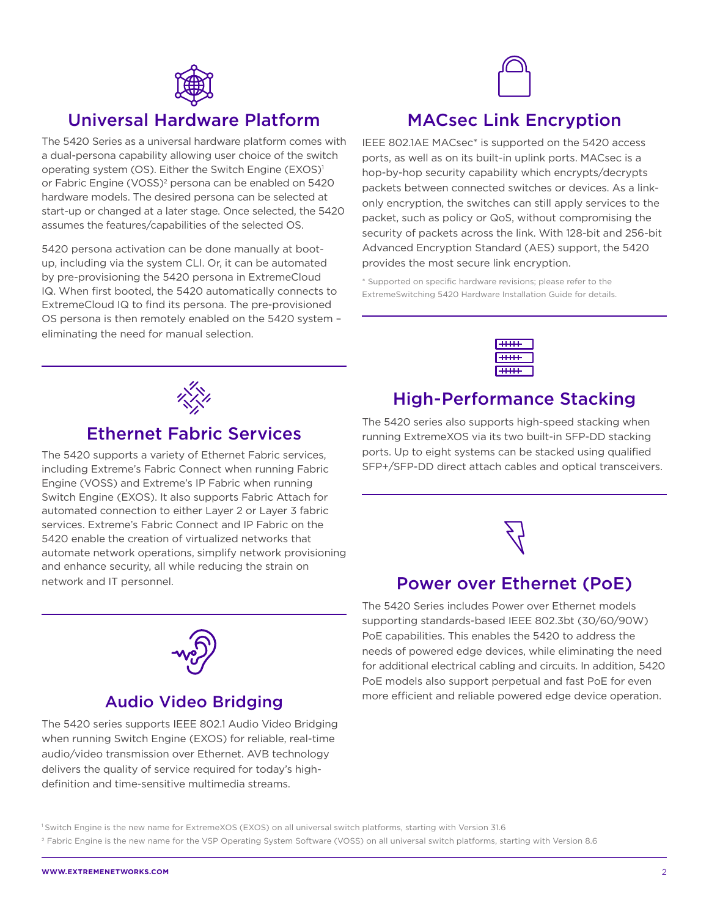

## Universal Hardware Platform

The 5420 Series as a universal hardware platform comes with a dual-persona capability allowing user choice of the switch operating system (OS). Either the Switch Engine (EXOS)<sup>1</sup> or Fabric Engine (VOSS)<sup>2</sup> persona can be enabled on 5420 hardware models. The desired persona can be selected at start-up or changed at a later stage. Once selected, the 5420 assumes the features/capabilities of the selected OS.

5420 persona activation can be done manually at bootup, including via the system CLI. Or, it can be automated by pre-provisioning the 5420 persona in ExtremeCloud IQ. When first booted, the 5420 automatically connects to ExtremeCloud IQ to find its persona. The pre-provisioned OS persona is then remotely enabled on the 5420 system – eliminating the need for manual selection.



## MACsec Link Encryption

IEEE 802.1AE MACsec\* is supported on the 5420 access ports, as well as on its built-in uplink ports. MACsec is a hop-by-hop security capability which encrypts/decrypts packets between connected switches or devices. As a linkonly encryption, the switches can still apply services to the packet, such as policy or QoS, without compromising the security of packets across the link. With 128-bit and 256-bit Advanced Encryption Standard (AES) support, the 5420 provides the most secure link encryption.

\* Supported on specific hardware revisions; please refer to the ExtremeSwitching 5420 Hardware Installation Guide for details.



#### High-Performance Stacking

The 5420 series also supports high-speed stacking when running ExtremeXOS via its two built-in SFP-DD stacking ports. Up to eight systems can be stacked using qualified SFP+/SFP-DD direct attach cables and optical transceivers.



## Power over Ethernet (PoE)

The 5420 Series includes Power over Ethernet models supporting standards-based IEEE 802.3bt (30/60/90W) PoE capabilities. This enables the 5420 to address the needs of powered edge devices, while eliminating the need for additional electrical cabling and circuits. In addition, 5420 PoE models also support perpetual and fast PoE for even more efficient and reliable powered edge device operation.



### Ethernet Fabric Services

The 5420 supports a variety of Ethernet Fabric services, including Extreme's Fabric Connect when running Fabric Engine (VOSS) and Extreme's IP Fabric when running Switch Engine (EXOS). It also supports Fabric Attach for automated connection to either Layer 2 or Layer 3 fabric services. Extreme's Fabric Connect and IP Fabric on the 5420 enable the creation of virtualized networks that automate network operations, simplify network provisioning and enhance security, all while reducing the strain on network and IT personnel.



#### Audio Video Bridging

The 5420 series supports IEEE 802.1 Audio Video Bridging when running Switch Engine (EXOS) for reliable, real-time audio/video transmission over Ethernet. AVB technology delivers the quality of service required for today's highdefinition and time-sensitive multimedia streams.

1 Switch Engine is the new name for ExtremeXOS (EXOS) on all universal switch platforms, starting with Version 31.6 <sup>2</sup> Fabric Engine is the new name for the VSP Operating System Software (VOSS) on all universal switch platforms, starting with Version 8.6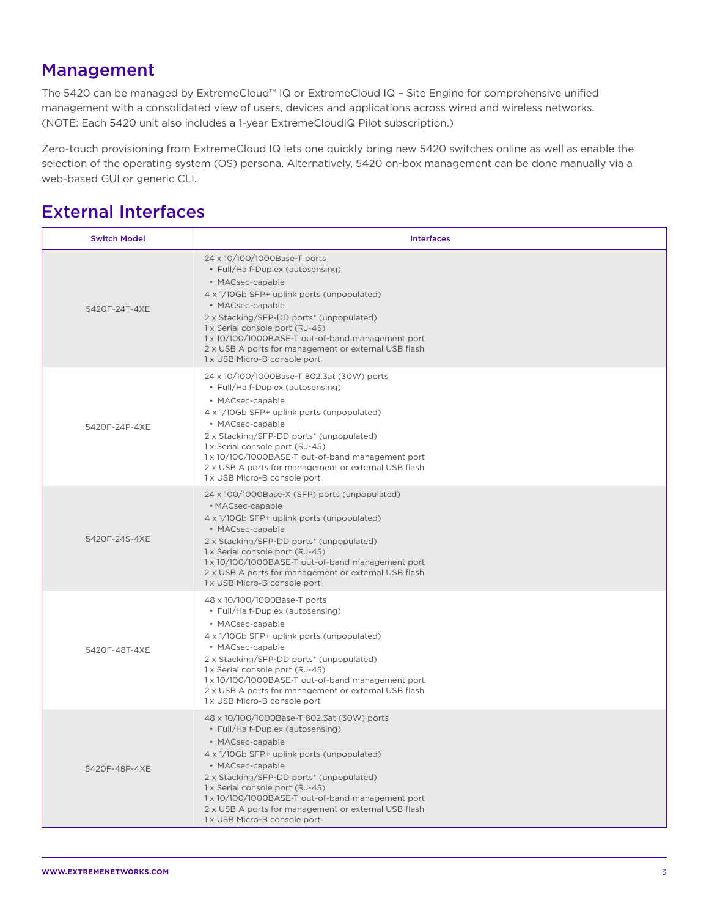## Management

The 5420 can be managed by ExtremeCloud™ IQ or ExtremeCloud IQ – Site Engine for comprehensive unified management with a consolidated view of users, devices and applications across wired and wireless networks. (NOTE: Each 5420 unit also includes a 1-year ExtremeCloudIQ Pilot subscription.)

Zero-touch provisioning from ExtremeCloud IQ lets one quickly bring new 5420 switches online as well as enable the selection of the operating system (OS) persona. Alternatively, 5420 on-box management can be done manually via a web-based GUI or generic CLI.

## External Interfaces

| <b>Switch Model</b> | <b>Interfaces</b>                                                                                                                                                                                                                                                                                                                                                                                |
|---------------------|--------------------------------------------------------------------------------------------------------------------------------------------------------------------------------------------------------------------------------------------------------------------------------------------------------------------------------------------------------------------------------------------------|
| 5420F-24T-4XE       | 24 x 10/100/1000Base-T ports<br>• Full/Half-Duplex (autosensing)<br>• MACsec-capable<br>4 x 1/10Gb SFP+ uplink ports (unpopulated)<br>• MACsec-capable<br>2 x Stacking/SFP-DD ports* (unpopulated)<br>1 x Serial console port (RJ-45)<br>1 x 10/100/1000BASE-T out-of-band management port<br>2 x USB A ports for management or external USB flash<br>1 x USB Micro-B console port               |
| 5420F-24P-4XE       | 24 x 10/100/1000Base-T 802.3at (30W) ports<br>• Full/Half-Duplex (autosensing)<br>• MACsec-capable<br>4 x 1/10Gb SFP+ uplink ports (unpopulated)<br>• MACsec-capable<br>2 x Stacking/SFP-DD ports* (unpopulated)<br>1 x Serial console port (RJ-45)<br>1 x 10/100/1000BASE-T out-of-band management port<br>2 x USB A ports for management or external USB flash<br>1 x USB Micro-B console port |
| 5420F-24S-4XE       | 24 x 100/1000Base-X (SFP) ports (unpopulated)<br>• MACsec-capable<br>4 x 1/10Gb SFP+ uplink ports (unpopulated)<br>• MACsec-capable<br>2 x Stacking/SFP-DD ports* (unpopulated)<br>1 x Serial console port (RJ-45)<br>1 x 10/100/1000BASE-T out-of-band management port<br>2 x USB A ports for management or external USB flash<br>1 x USB Micro-B console port                                  |
| 5420F-48T-4XE       | 48 x 10/100/1000Base-T ports<br>• Full/Half-Duplex (autosensing)<br>• MACsec-capable<br>4 x 1/10Gb SFP+ uplink ports (unpopulated)<br>• MACsec-capable<br>2 x Stacking/SFP-DD ports* (unpopulated)<br>1 x Serial console port (RJ-45)<br>1 x 10/100/1000BASE-T out-of-band management port<br>2 x USB A ports for management or external USB flash<br>1 x USB Micro-B console port               |
| 5420F-48P-4XE       | 48 x 10/100/1000Base-T 802.3at (30W) ports<br>• Full/Half-Duplex (autosensing)<br>• MACsec-capable<br>4 x 1/10Gb SFP+ uplink ports (unpopulated)<br>• MACsec-capable<br>2 x Stacking/SFP-DD ports* (unpopulated)<br>1 x Serial console port (RJ-45)<br>1 x 10/100/1000BASE-T out-of-band management port<br>2 x USB A ports for management or external USB flash<br>1 x USB Micro-B console port |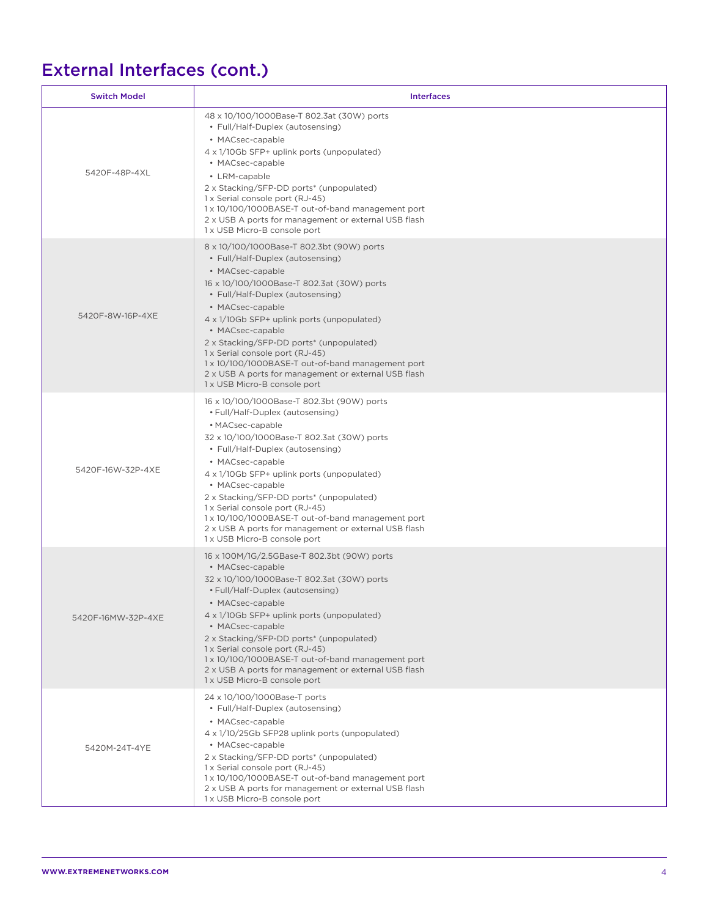# External Interfaces (cont.)

| <b>Switch Model</b> | <b>Interfaces</b>                                                                                                                                                                                                                                                                                                                                                                                                                                                                                      |
|---------------------|--------------------------------------------------------------------------------------------------------------------------------------------------------------------------------------------------------------------------------------------------------------------------------------------------------------------------------------------------------------------------------------------------------------------------------------------------------------------------------------------------------|
| 5420F-48P-4XL       | 48 x 10/100/1000Base-T 802.3at (30W) ports<br>• Full/Half-Duplex (autosensing)<br>• MACsec-capable<br>4 x 1/10Gb SFP+ uplink ports (unpopulated)<br>• MACsec-capable<br>• LRM-capable<br>2 x Stacking/SFP-DD ports* (unpopulated)<br>1 x Serial console port (RJ-45)<br>1 x 10/100/1000BASE-T out-of-band management port<br>2 x USB A ports for management or external USB flash<br>1 x USB Micro-B console port                                                                                      |
| 5420F-8W-16P-4XE    | 8 x 10/100/1000Base-T 802.3bt (90W) ports<br>• Full/Half-Duplex (autosensing)<br>• MACsec-capable<br>16 x 10/100/1000Base-T 802.3at (30W) ports<br>• Full/Half-Duplex (autosensing)<br>• MACsec-capable<br>4 x 1/10Gb SFP+ uplink ports (unpopulated)<br>• MACsec-capable<br>2 x Stacking/SFP-DD ports* (unpopulated)<br>1 x Serial console port (RJ-45)<br>1 x 10/100/1000BASE-T out-of-band management port<br>2 x USB A ports for management or external USB flash<br>1 x USB Micro-B console port  |
| 5420F-16W-32P-4XE   | 16 x 10/100/1000Base-T 802.3bt (90W) ports<br>• Full/Half-Duplex (autosensing)<br>• MACsec-capable<br>32 x 10/100/1000Base-T 802.3at (30W) ports<br>• Full/Half-Duplex (autosensing)<br>• MACsec-capable<br>4 x 1/10Gb SFP+ uplink ports (unpopulated)<br>• MACsec-capable<br>2 x Stacking/SFP-DD ports* (unpopulated)<br>1 x Serial console port (RJ-45)<br>1 x 10/100/1000BASE-T out-of-band management port<br>2 x USB A ports for management or external USB flash<br>1 x USB Micro-B console port |
| 5420F-16MW-32P-4XE  | 16 x 100M/1G/2.5GBase-T 802.3bt (90W) ports<br>• MACsec-capable<br>32 x 10/100/1000Base-T 802.3at (30W) ports<br>• Full/Half-Duplex (autosensing)<br>• MACsec-capable<br>4 x 1/10Gb SFP+ uplink ports (unpopulated)<br>• MACsec-capable<br>2 x Stacking/SFP-DD ports* (unpopulated)<br>1 x Serial console port (RJ-45)<br>1 x 10/100/1000BASE-T out-of-band management port<br>2 x USB A ports for management or external USB flash<br>1 x USB Micro-B console port                                    |
| 5420M-24T-4YE       | 24 x 10/100/1000Base-T ports<br>• Full/Half-Duplex (autosensing)<br>• MACsec-capable<br>4 x 1/10/25Gb SFP28 uplink ports (unpopulated)<br>• MACsec-capable<br>2 x Stacking/SFP-DD ports* (unpopulated)<br>1 x Serial console port (RJ-45)<br>1 x 10/100/1000BASE-T out-of-band management port<br>2 x USB A ports for management or external USB flash<br>1 x USB Micro-B console port                                                                                                                 |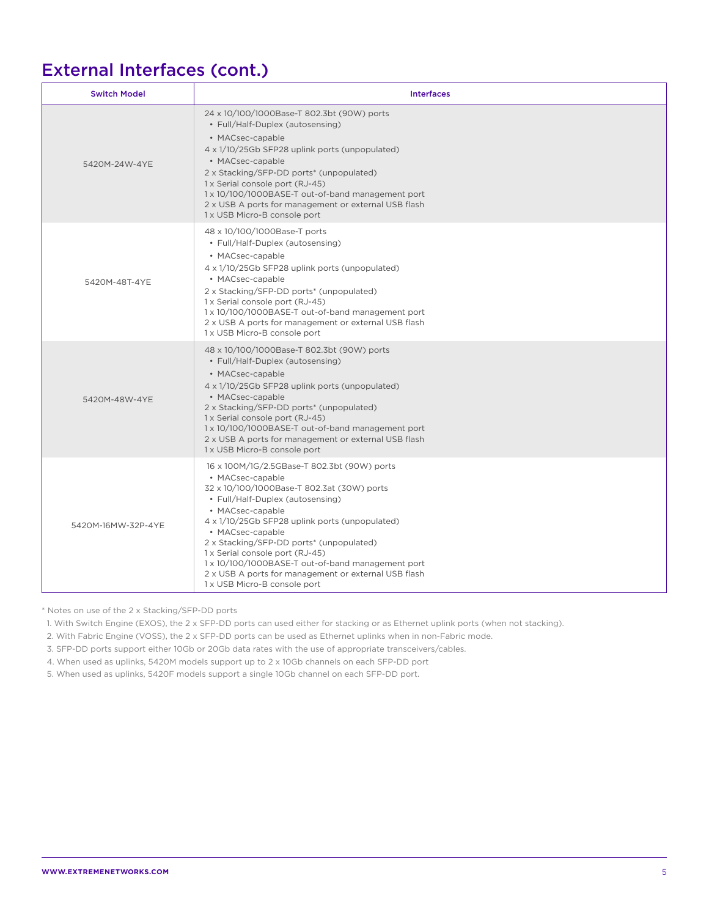## External Interfaces (cont.)

| <b>Switch Model</b> | <b>Interfaces</b>                                                                                                                                                                                                                                                                                                                                                                                                                                                       |
|---------------------|-------------------------------------------------------------------------------------------------------------------------------------------------------------------------------------------------------------------------------------------------------------------------------------------------------------------------------------------------------------------------------------------------------------------------------------------------------------------------|
| 5420M-24W-4YE       | 24 x 10/100/1000Base-T 802.3bt (90W) ports<br>• Full/Half-Duplex (autosensing)<br>• MACsec-capable<br>4 x 1/10/25Gb SFP28 uplink ports (unpopulated)<br>• MACsec-capable<br>2 x Stacking/SFP-DD ports* (unpopulated)<br>1 x Serial console port (RJ-45)<br>1 x 10/100/1000BASE-T out-of-band management port<br>2 x USB A ports for management or external USB flash<br>1 x USB Micro-B console port                                                                    |
| 5420M-48T-4YE       | 48 x 10/100/1000Base-T ports<br>• Full/Half-Duplex (autosensing)<br>• MACsec-capable<br>4 x 1/10/25Gb SFP28 uplink ports (unpopulated)<br>• MACsec-capable<br>2 x Stacking/SFP-DD ports* (unpopulated)<br>1 x Serial console port (RJ-45)<br>1 x 10/100/1000BASE-T out-of-band management port<br>2 x USB A ports for management or external USB flash<br>1 x USB Micro-B console port                                                                                  |
| 5420M-48W-4YE       | 48 x 10/100/1000Base-T 802.3bt (90W) ports<br>• Full/Half-Duplex (autosensing)<br>• MACsec-capable<br>4 x 1/10/25Gb SFP28 uplink ports (unpopulated)<br>• MACsec-capable<br>2 x Stacking/SFP-DD ports* (unpopulated)<br>1 x Serial console port (RJ-45)<br>1 x 10/100/1000BASE-T out-of-band management port<br>2 x USB A ports for management or external USB flash<br>1 x USB Micro-B console port                                                                    |
| 5420M-16MW-32P-4YE  | 16 x 100M/1G/2.5GBase-T 802.3bt (90W) ports<br>• MACsec-capable<br>32 x 10/100/1000Base-T 802.3at (30W) ports<br>• Full/Half-Duplex (autosensing)<br>• MACsec-capable<br>4 x 1/10/25Gb SFP28 uplink ports (unpopulated)<br>• MACsec-capable<br>2 x Stacking/SFP-DD ports* (unpopulated)<br>1 x Serial console port (RJ-45)<br>1 x 10/100/1000BASE-T out-of-band management port<br>2 x USB A ports for management or external USB flash<br>1 x USB Micro-B console port |

\* Notes on use of the 2 x Stacking/SFP-DD ports

1. With Switch Engine (EXOS), the 2 x SFP-DD ports can used either for stacking or as Ethernet uplink ports (when not stacking).

2. With Fabric Engine (VOSS), the 2 x SFP-DD ports can be used as Ethernet uplinks when in non-Fabric mode.

3. SFP-DD ports support either 10Gb or 20Gb data rates with the use of appropriate transceivers/cables.

4. When used as uplinks, 5420M models support up to 2 x 10Gb channels on each SFP-DD port

5. When used as uplinks, 5420F models support a single 10Gb channel on each SFP-DD port.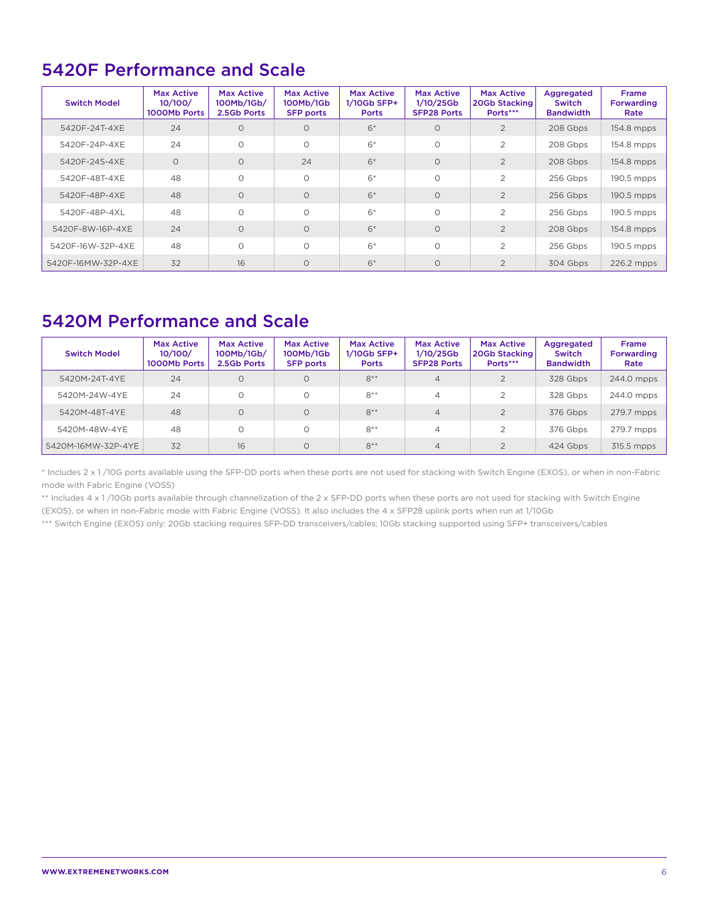## 5420F Performance and Scale

| <b>Switch Model</b> | <b>Max Active</b><br>10/100/<br>1000Mb Ports | <b>Max Active</b><br>100Mb/1Gb/<br>2.5Gb Ports | <b>Max Active</b><br>100Mb/1Gb<br><b>SFP ports</b> | <b>Max Active</b><br>$1/10$ Gb SFP+<br><b>Ports</b> | <b>Max Active</b><br>1/10/25Gb<br><b>SFP28 Ports</b> | <b>Max Active</b><br>20Gb Stacking<br>Ports*** | Aggregated<br>Switch<br><b>Bandwidth</b> | <b>Frame</b><br>Forwarding<br>Rate |
|---------------------|----------------------------------------------|------------------------------------------------|----------------------------------------------------|-----------------------------------------------------|------------------------------------------------------|------------------------------------------------|------------------------------------------|------------------------------------|
| 5420F-24T-4XE       | 24                                           | $\Omega$                                       | $\Omega$                                           | $6*$                                                | $\circ$                                              | 2                                              | 208 Gbps                                 | 154.8 mpps                         |
| 5420F-24P-4XE       | 24                                           | $\Omega$                                       | $\Omega$                                           | $6*$                                                | $\Omega$                                             | $\overline{2}$                                 | 208 Gbps                                 | 154.8 mpps                         |
| 5420F-24S-4XE       | $\Omega$                                     | $\Omega$                                       | 24                                                 | $6*$                                                | $\Omega$                                             | $\overline{2}$                                 | 208 Gbps                                 | 154.8 mpps                         |
| 5420F-48T-4XE       | 48                                           | $\circ$                                        | $\Omega$                                           | $6*$                                                | $\Omega$                                             | $\overline{2}$                                 | 256 Gbps                                 | 190.5 mpps                         |
| 5420F-48P-4XE       | 48                                           | $\Omega$                                       | $\Omega$                                           | $6*$                                                | $\Omega$                                             | $\overline{2}$                                 | 256 Gbps                                 | 190.5 mpps                         |
| 5420F-48P-4XL       | 48                                           | $\circ$                                        | $\Omega$                                           | $6*$                                                | $\Omega$                                             | $\overline{2}$                                 | 256 Gbps                                 | 190.5 mpps                         |
| 5420F-8W-16P-4XE    | 24                                           | $\Omega$                                       | $\Omega$                                           | $6*$                                                | $\Omega$                                             | $\overline{2}$                                 | 208 Gbps                                 | 154.8 mpps                         |
| 5420F-16W-32P-4XE   | 48                                           | $\circ$                                        | $\Omega$                                           | $6*$                                                | $\Omega$                                             | $\overline{2}$                                 | 256 Gbps                                 | 190.5 mpps                         |
| 5420F-16MW-32P-4XE  | 32                                           | 16                                             | $\Omega$                                           | $6*$                                                | $\Omega$                                             | $\overline{2}$                                 | 304 Gbps                                 | 226.2 mpps                         |

## 5420M Performance and Scale

| <b>Switch Model</b> | <b>Max Active</b><br>10/100/<br>1000Mb Ports | <b>Max Active</b><br>100Mb/1Gb/<br>2.5Gb Ports | <b>Max Active</b><br>100Mb/1Gb<br><b>SFP ports</b> | <b>Max Active</b><br>$1/10$ Gb SFP+<br><b>Ports</b> | <b>Max Active</b><br>$1/10/25$ Gb<br><b>SFP28 Ports</b> | <b>Max Active</b><br>20Gb Stacking<br>Ports*** | Aggregated<br>Switch<br><b>Bandwidth</b> | <b>Frame</b><br><b>Forwarding</b><br>Rate |
|---------------------|----------------------------------------------|------------------------------------------------|----------------------------------------------------|-----------------------------------------------------|---------------------------------------------------------|------------------------------------------------|------------------------------------------|-------------------------------------------|
| 5420M-24T-4YE       | 24                                           | O                                              | $\circ$                                            | $8**$                                               | $\overline{4}$                                          | $\mathfrak{D}$                                 | 328 Gbps                                 | 244.0 mpps                                |
| 5420M-24W-4YE       | 24                                           |                                                | $\Omega$                                           | $8**$                                               | 4                                                       | 2                                              | 328 Gbps                                 | 244.0 mpps                                |
| 5420M-48T-4YE       | 48                                           |                                                | $\Omega$                                           | $8**$                                               | $\overline{4}$                                          | $\mathfrak{D}$                                 | 376 Gbps                                 | 279.7 mpps                                |
| 5420M-48W-4YE       | 48                                           |                                                | $\Omega$                                           | $8**$                                               | $\overline{4}$                                          |                                                | 376 Gbps                                 | 279.7 mpps                                |
| 5420M-16MW-32P-4YE  | 32                                           | 16                                             | $\Omega$                                           | $8**$                                               | $\overline{4}$                                          | $\Omega$                                       | 424 Gbps                                 | 315.5 mpps                                |

\* Includes 2 x 1 /10G ports available using the SFP-DD ports when these ports are not used for stacking with Switch Engine (EXOS), or when in non-Fabric mode with Fabric Engine (VOSS)

\*\* Includes 4 x 1 /10Gb ports available through channelization of the 2 x SFP-DD ports when these ports are not used for stacking with Switch Engine

(EXOS), or when in non-Fabric mode with Fabric Engine (VOSS). It also includes the 4 x SFP28 uplink ports when run at 1/10Gb

\*\*\* Switch Engine (EXOS) only: 20Gb stacking requires SFP-DD transceivers/cables; 10Gb stacking supported using SFP+ transceivers/cables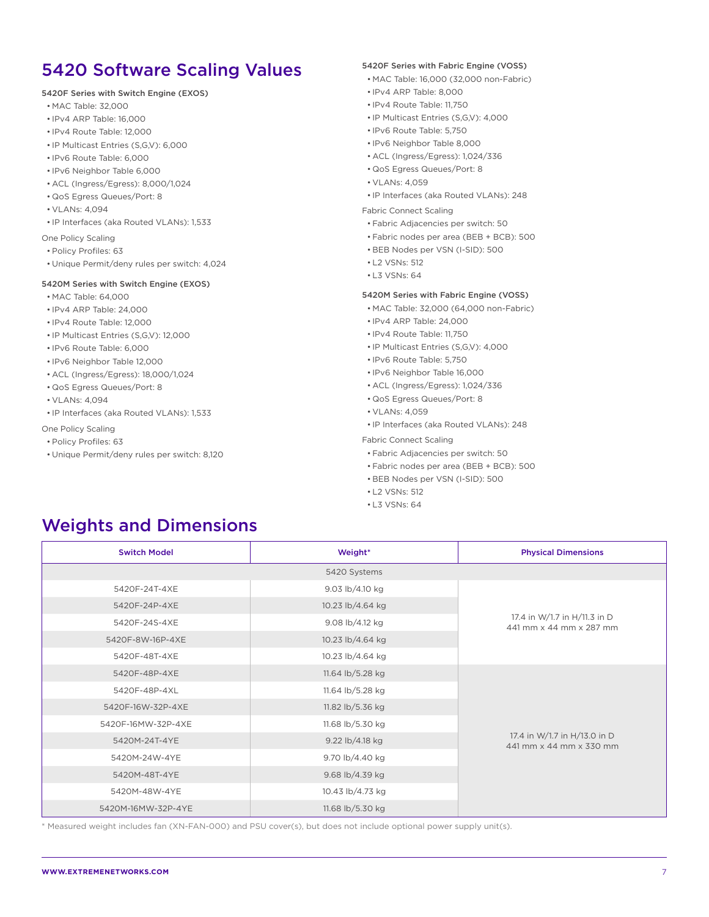## 5420 Software Scaling Values

#### 5420F Series with Switch Engine (EXOS)

- MAC Table: 32,000
- IPv4 ARP Table: 16,000
- IPv4 Route Table: 12,000
- IP Multicast Entries (S,G,V): 6,000
- IPv6 Route Table: 6,000
- IPv6 Neighbor Table 6,000
- ACL (Ingress/Egress): 8,000/1,024
- QoS Egress Queues/Port: 8
- VLANs: 4,094
- IP Interfaces (aka Routed VLANs): 1,533

One Policy Scaling

- Policy Profiles: 63
- Unique Permit/deny rules per switch: 4,024

#### 5420M Series with Switch Engine (EXOS)

- MAC Table: 64,000
- IPv4 ARP Table: 24,000
- IPv4 Route Table: 12,000
- IP Multicast Entries (S,G,V): 12,000
- IPv6 Route Table: 6,000
- IPv6 Neighbor Table 12,000
- ACL (Ingress/Egress): 18,000/1,024
- QoS Egress Queues/Port: 8
- VLANs: 4,094
- IP Interfaces (aka Routed VLANs): 1,533

One Policy Scaling

- Policy Profiles: 63
- Unique Permit/deny rules per switch: 8,120

#### 5420F Series with Fabric Engine (VOSS)

- MAC Table: 16,000 (32,000 non-Fabric)
- IPv4 ARP Table: 8,000
- IPv4 Route Table: 11,750
- IP Multicast Entries (S,G,V): 4,000
- IPv6 Route Table: 5,750
- IPv6 Neighbor Table 8,000
- ACL (Ingress/Egress): 1,024/336
- QoS Egress Queues/Port: 8
- VI ANs: 4059
- IP Interfaces (aka Routed VLANs): 248

#### Fabric Connect Scaling

- Fabric Adjacencies per switch: 50
- Fabric nodes per area (BEB + BCB): 500
- BEB Nodes per VSN (I-SID): 500
- L2 VSNs: 512
- L3 VSNs: 64

#### 5420M Series with Fabric Engine (VOSS)

- MAC Table: 32,000 (64,000 non-Fabric)
- IPv4 ARP Table: 24,000
- IPv4 Route Table: 11,750
- IP Multicast Entries (S,G,V): 4,000
- IPv6 Route Table: 5,750
- IPv6 Neighbor Table 16,000
- ACL (Ingress/Egress): 1,024/336
- QoS Egress Queues/Port: 8
- VLANs: 4,059
- IP Interfaces (aka Routed VLANs): 248

#### Fabric Connect Scaling

- Fabric Adjacencies per switch: 50
- Fabric nodes per area (BEB + BCB): 500
- BEB Nodes per VSN (I-SID): 500
- L2 VSNs: 512
- L3 VSNs: 64

## Weights and Dimensions

| <b>Switch Model</b> | Weight*          |                                                         |  |  |
|---------------------|------------------|---------------------------------------------------------|--|--|
|                     | 5420 Systems     |                                                         |  |  |
| 5420F-24T-4XE       | 9.03 lb/4.10 kg  |                                                         |  |  |
| 5420F-24P-4XE       | 10.23 lb/4.64 kg |                                                         |  |  |
| 5420F-24S-4XE       | 9.08 lb/4.12 kg  | 17.4 in W/1.7 in H/11.3 in D<br>441 mm x 44 mm x 287 mm |  |  |
| 5420F-8W-16P-4XE    | 10.23 lb/4.64 kg |                                                         |  |  |
| 5420F-48T-4XE       | 10.23 lb/4.64 kg |                                                         |  |  |
| 5420F-48P-4XE       | 11.64 lb/5.28 kg |                                                         |  |  |
| 5420F-48P-4XL       | 11.64 lb/5.28 kg |                                                         |  |  |
| 5420F-16W-32P-4XE   | 11.82 lb/5.36 kg |                                                         |  |  |
| 5420F-16MW-32P-4XE  | 11.68 lb/5.30 kg |                                                         |  |  |
| 5420M-24T-4YE       | 9.22 lb/4.18 kg  | 17.4 in W/1.7 in H/13.0 in D<br>441 mm x 44 mm x 330 mm |  |  |
| 5420M-24W-4YE       | 9.70 lb/4.40 kg  |                                                         |  |  |
| 5420M-48T-4YE       | 9.68 lb/4.39 kg  |                                                         |  |  |
| 5420M-48W-4YE       | 10.43 lb/4.73 kg |                                                         |  |  |
| 5420M-16MW-32P-4YE  | 11.68 lb/5.30 kg |                                                         |  |  |

\* Measured weight includes fan (XN-FAN-000) and PSU cover(s), but does not include optional power supply unit(s).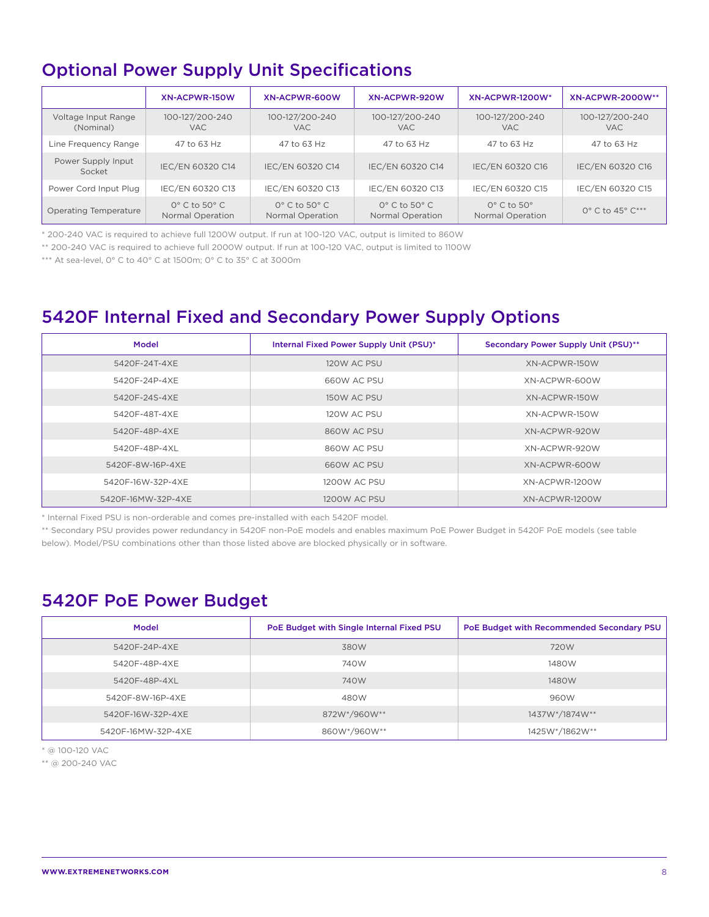## Optional Power Supply Unit Specifications

|                                  | XN-ACPWR-150W                                    | XN-ACPWR-600W                                    | XN-ACPWR-920W                                        | XN-ACPWR-1200W*                               | <b>XN-ACPWR-2000W**</b>       |
|----------------------------------|--------------------------------------------------|--------------------------------------------------|------------------------------------------------------|-----------------------------------------------|-------------------------------|
| Voltage Input Range<br>(Nominal) | 100-127/200-240<br><b>VAC</b>                    | 100-127/200-240<br><b>VAC</b>                    | 100-127/200-240<br><b>VAC</b>                        | 100-127/200-240<br>VAC.                       | 100-127/200-240<br><b>VAC</b> |
| Line Frequency Range             | 47 to 63 Hz                                      | 47 to 63 Hz                                      | 47 to 63 Hz                                          | 47 to 63 Hz                                   | 47 to 63 Hz                   |
| Power Supply Input<br>Socket     | IEC/EN 60320 C14                                 | IEC/EN 60320 C14                                 | IEC/EN 60320 C14                                     | IEC/EN 60320 C16                              | IEC/EN 60320 C16              |
| Power Cord Input Plug            | IEC/EN 60320 C13                                 | IEC/EN 60320 C13                                 | IEC/EN 60320 C13                                     | IEC/EN 60320 C15                              | IEC/EN 60320 C15              |
| Operating Temperature            | $0^\circ$ C to 50 $^\circ$ C<br>Normal Operation | $0^\circ$ C to 50 $^\circ$ C<br>Normal Operation | $O^{\circ}$ C to 50 $^{\circ}$ C<br>Normal Operation | $0^\circ$ C to $50^\circ$<br>Normal Operation | 0° C to 45° C***              |

\* 200-240 VAC is required to achieve full 1200W output. If run at 100-120 VAC, output is limited to 860W

\*\* 200-240 VAC is required to achieve full 2000W output. If run at 100-120 VAC, output is limited to 1100W

\*\*\* At sea-level, 0° C to 40° C at 1500m; 0° C to 35° C at 3000m

## 5420F Internal Fixed and Secondary Power Supply Options

| Model              | Internal Fixed Power Supply Unit (PSU)* | Secondary Power Supply Unit (PSU)** |
|--------------------|-----------------------------------------|-------------------------------------|
| 5420F-24T-4XE      | 120W AC PSU                             | XN-ACPWR-150W                       |
| 5420F-24P-4XE      | 660W AC PSU                             | XN-ACPWR-600W                       |
| 5420F-24S-4XE      | 150W AC PSU                             | XN-ACPWR-150W                       |
| 5420F-48T-4XE      | 120W AC PSU                             | XN-ACPWR-150W                       |
| 5420F-48P-4XE      | 860W AC PSU                             | XN-ACPWR-920W                       |
| 5420F-48P-4XL      | 860W AC PSU                             | XN-ACPWR-920W                       |
| 5420F-8W-16P-4XE   | 660W AC PSU                             | XN-ACPWR-600W                       |
| 5420F-16W-32P-4XE  | 1200W AC PSU                            | XN-ACPWR-1200W                      |
| 5420F-16MW-32P-4XE | 1200W AC PSU                            | XN-ACPWR-1200W                      |

\* Internal Fixed PSU is non-orderable and comes pre-installed with each 5420F model.

\*\* Secondary PSU provides power redundancy in 5420F non-PoE models and enables maximum PoE Power Budget in 5420F PoE models (see table below). Model/PSU combinations other than those listed above are blocked physically or in software.

### 5420F PoE Power Budget

| Model              | PoE Budget with Single Internal Fixed PSU | PoE Budget with Recommended Secondary PSU |
|--------------------|-------------------------------------------|-------------------------------------------|
| 5420F-24P-4XE      | 380W                                      | 720W                                      |
| 5420F-48P-4XE      | 740W                                      | 1480W                                     |
| 5420F-48P-4XL      | 740W                                      | 1480W                                     |
| 5420F-8W-16P-4XE   | 480W                                      | 960W                                      |
| 5420F-16W-32P-4XE  | 872W*/960W**                              | 1437W*/1874W**                            |
| 5420F-16MW-32P-4XE | 860W*/960W**                              | 1425W*/1862W**                            |

\* @ 100-120 VAC

\*\* @ 200-240 VAC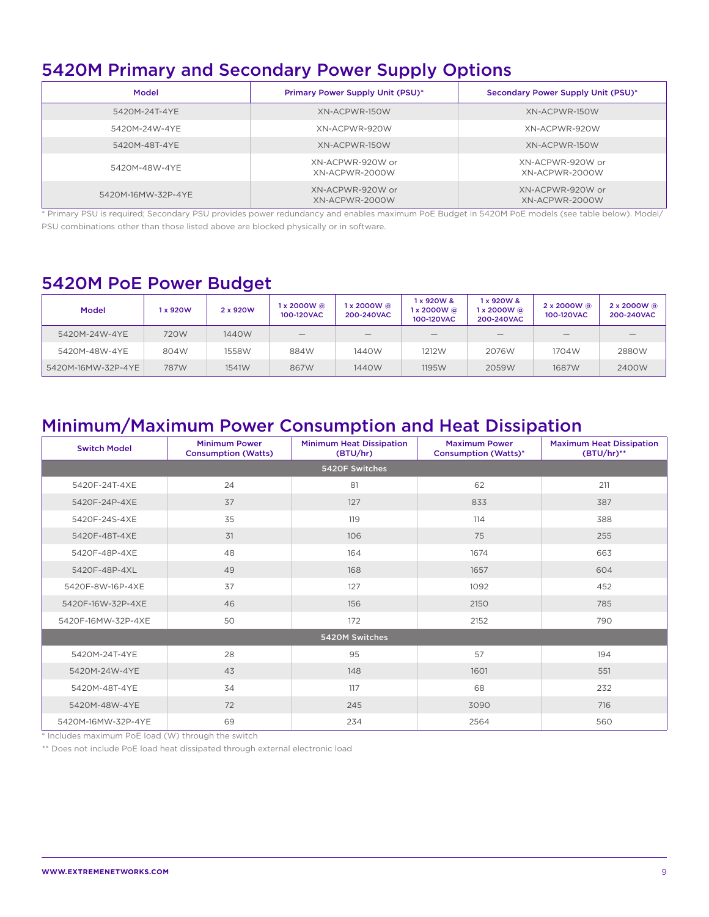## 5420M Primary and Secondary Power Supply Options

| Model              | <b>Primary Power Supply Unit (PSU)*</b> | Secondary Power Supply Unit (PSU)* |
|--------------------|-----------------------------------------|------------------------------------|
| 5420M-24T-4YE      | XN-ACPWR-150W                           | XN-ACPWR-150W                      |
| 5420M-24W-4YE      | XN-ACPWR-920W                           | XN-ACPWR-920W                      |
| 5420M-48T-4YE      | XN-ACPWR-150W                           | XN-ACPWR-150W                      |
| 5420M-48W-4YE      | XN-ACPWR-920W or<br>XN-ACPWR-2000W      | XN-ACPWR-920W or<br>XN-ACPWR-2000W |
| 5420M-16MW-32P-4YE | XN-ACPWR-920W or<br>XN-ACPWR-2000W      | XN-ACPWR-920W or<br>XN-ACPWR-2000W |

\* Primary PSU is required; Secondary PSU provides power redundancy and enables maximum PoE Budget in 5420M PoE models (see table below). Model/ PSU combinations other than those listed above are blocked physically or in software.

#### 5420M PoE Power Budget

| <b>Model</b>       | 1 x 920W | 2 x 920W | 1 x 2000W @<br>100-120VAC | l x 2000W @<br>200-240VAC | 1 x 920W &<br>1 x 2000W @<br>100-120VAC | 1 x 920W &<br>1 x 2000W @<br>200-240VAC | $2 \times 2000W$ @<br>100-120VAC | 2 x 2000W @<br>200-240VAC |
|--------------------|----------|----------|---------------------------|---------------------------|-----------------------------------------|-----------------------------------------|----------------------------------|---------------------------|
| 5420M-24W-4YE      | 720W     | 1440W    |                           |                           |                                         |                                         |                                  |                           |
| 5420M-48W-4YE      | 804W     | 1558W    | 884W                      | 1440W                     | 1212W                                   | 2076W                                   | 1704W                            | 2880W                     |
| 5420M-16MW-32P-4YE | 787W     | 1541W    | 867W                      | 1440W                     | 1195W                                   | 2059W                                   | 1687W                            | 2400W                     |

## Minimum/Maximum Power Consumption and Heat Dissipation

| <b>Switch Model</b> | <b>Minimum Power</b><br><b>Consumption (Watts)</b> | <b>Minimum Heat Dissipation</b><br>(BTU/hr) | <b>Maximum Power</b><br><b>Consumption (Watts)*</b> | <b>Maximum Heat Dissipation</b><br>$(BTU/hr)$ ** |
|---------------------|----------------------------------------------------|---------------------------------------------|-----------------------------------------------------|--------------------------------------------------|
|                     |                                                    | 5420F Switches                              |                                                     |                                                  |
| 5420F-24T-4XE       | 24                                                 | 81                                          | 62                                                  | 211                                              |
| 5420F-24P-4XE       | 37                                                 | 127                                         | 833                                                 | 387                                              |
| 5420F-24S-4XE       | 35                                                 | 119                                         | 114                                                 | 388                                              |
| 5420F-48T-4XE       | 31                                                 | 106                                         | 75                                                  | 255                                              |
| 5420F-48P-4XE       | 48                                                 | 164                                         | 1674                                                | 663                                              |
| 5420F-48P-4XL       | 49                                                 | 168                                         | 1657                                                | 604                                              |
| 5420F-8W-16P-4XE    | 37                                                 | 127                                         | 1092                                                | 452                                              |
| 5420F-16W-32P-4XE   | 46                                                 | 156                                         | 2150                                                | 785                                              |
| 5420F-16MW-32P-4XE  | 50                                                 | 172                                         | 2152                                                | 790                                              |
|                     |                                                    | 5420M Switches                              |                                                     |                                                  |
| 5420M-24T-4YE       | 28                                                 | 95                                          | 57                                                  | 194                                              |
| 5420M-24W-4YE       | 43                                                 | 148                                         | 1601                                                | 551                                              |
| 5420M-48T-4YE       | 34                                                 | 117                                         | 68                                                  | 232                                              |
| 5420M-48W-4YE       | 72                                                 | 245                                         | 3090                                                | 716                                              |
| 5420M-16MW-32P-4YE  | 69                                                 | 234                                         | 2564                                                | 560                                              |

\* Includes maximum PoE load (W) through the switch

\*\* Does not include PoE load heat dissipated through external electronic load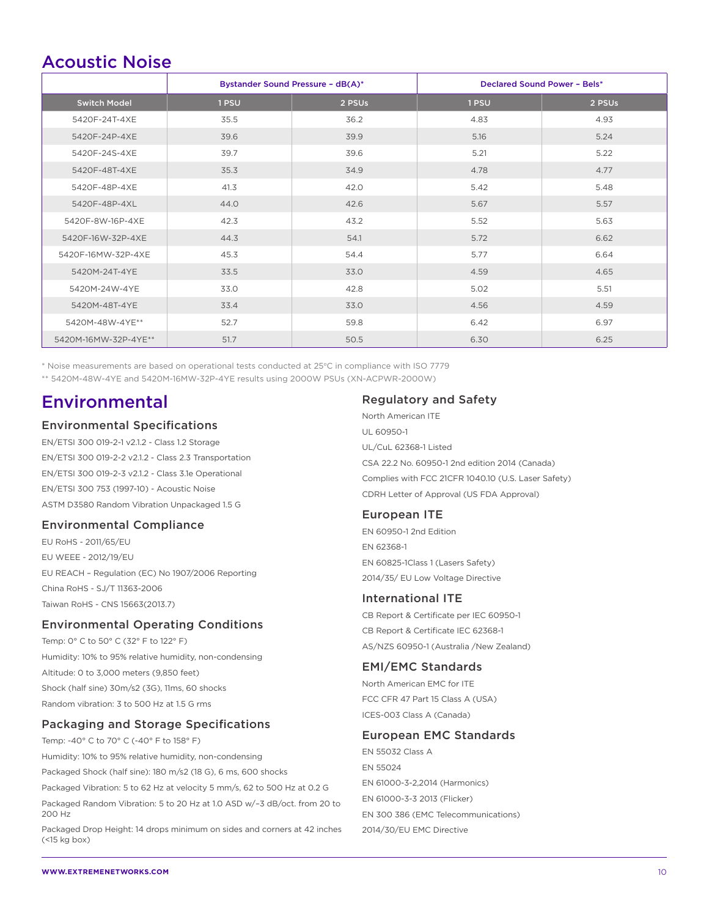### Acoustic Noise

|                      | Bystander Sound Pressure - dB(A)* |        | <b>Declared Sound Power - Bels*</b> |        |
|----------------------|-----------------------------------|--------|-------------------------------------|--------|
| <b>Switch Model</b>  | 1 PSU                             | 2 PSUs | 1 PSU                               | 2 PSUs |
| 5420F-24T-4XE        | 35.5                              | 36.2   | 4.83                                | 4.93   |
| 5420F-24P-4XE        | 39.6                              | 39.9   | 5.16                                | 5.24   |
| 5420F-24S-4XE        | 39.7                              | 39.6   | 5.21                                | 5.22   |
| 5420F-48T-4XE        | 35.3                              | 34.9   | 4.78                                | 4.77   |
| 5420F-48P-4XE        | 41.3                              | 42.0   | 5.42                                | 5.48   |
| 5420F-48P-4XL        | 44.0                              | 42.6   | 5.67                                | 5.57   |
| 5420F-8W-16P-4XE     | 42.3                              | 43.2   | 5.52                                | 5.63   |
| 5420F-16W-32P-4XE    | 44.3                              | 54.1   | 5.72                                | 6.62   |
| 5420F-16MW-32P-4XE   | 45.3                              | 54.4   | 5.77                                | 6.64   |
| 5420M-24T-4YE        | 33.5                              | 33.0   | 4.59                                | 4.65   |
| 5420M-24W-4YE        | 33.0                              | 42.8   | 5.02                                | 5.51   |
| 5420M-48T-4YE        | 33.4                              | 33.0   | 4.56                                | 4.59   |
| 5420M-48W-4YE**      | 52.7                              | 59.8   | 6.42                                | 6.97   |
| 5420M-16MW-32P-4YE** | 51.7                              | 50.5   | 6.30                                | 6.25   |

\* Noise measurements are based on operational tests conducted at 25°C in compliance with ISO 7779

\*\* 5420M-48W-4YE and 5420M-16MW-32P-4YE results using 2000W PSUs (XN-ACPWR-2000W)

### Environmental

#### Environmental Specifications

EN/ETSI 300 019-2-1 v2.1.2 - Class 1.2 Storage EN/ETSI 300 019-2-2 v2.1.2 - Class 2.3 Transportation EN/ETSI 300 019-2-3 v2.1.2 - Class 3.1e Operational EN/ETSI 300 753 (1997-10) - Acoustic Noise ASTM D3580 Random Vibration Unpackaged 1.5 G

#### Environmental Compliance

EU RoHS - 2011/65/EU EU WEEE - 2012/19/EU EU REACH – Regulation (EC) No 1907/2006 Reporting China RoHS - SJ/T 11363-2006 Taiwan RoHS - CNS 15663(2013.7)

#### Environmental Operating Conditions

Temp: 0° C to 50° C (32° F to 122° F) Humidity: 10% to 95% relative humidity, non-condensing Altitude: 0 to 3,000 meters (9,850 feet) Shock (half sine) 30m/s2 (3G), 11ms, 60 shocks Random vibration: 3 to 500 Hz at 1.5 G rms

#### Packaging and Storage Specifications

Temp: -40° C to 70° C (-40° F to 158° F) Humidity: 10% to 95% relative humidity, non-condensing Packaged Shock (half sine): 180 m/s2 (18 G), 6 ms, 600 shocks Packaged Vibration: 5 to 62 Hz at velocity 5 mm/s, 62 to 500 Hz at 0.2 G Packaged Random Vibration: 5 to 20 Hz at 1.0 ASD w/–3 dB/oct. from 20 to 200 Hz

Packaged Drop Height: 14 drops minimum on sides and corners at 42 inches (<15 kg box)

#### Regulatory and Safety

North American ITE UL 60950-1 UL/CuL 62368-1 Listed CSA 22.2 No. 60950-1 2nd edition 2014 (Canada) Complies with FCC 21CFR 1040.10 (U.S. Laser Safety) CDRH Letter of Approval (US FDA Approval)

#### European ITE

EN 60950-1 2nd Edition EN 62368-1 EN 60825-1Class 1 (Lasers Safety) 2014/35/ EU Low Voltage Directive

#### International ITE

CB Report & Certificate per IEC 60950-1 CB Report & Certificate IEC 62368-1 AS/NZS 60950-1 (Australia /New Zealand)

#### EMI/EMC Standards

North American EMC for ITE FCC CFR 47 Part 15 Class A (USA) ICES-003 Class A (Canada)

#### European EMC Standards

EN 55032 Class A EN 55024 EN 61000-3-2,2014 (Harmonics) EN 61000-3-3 2013 (Flicker) EN 300 386 (EMC Telecommunications) 2014/30/EU EMC Directive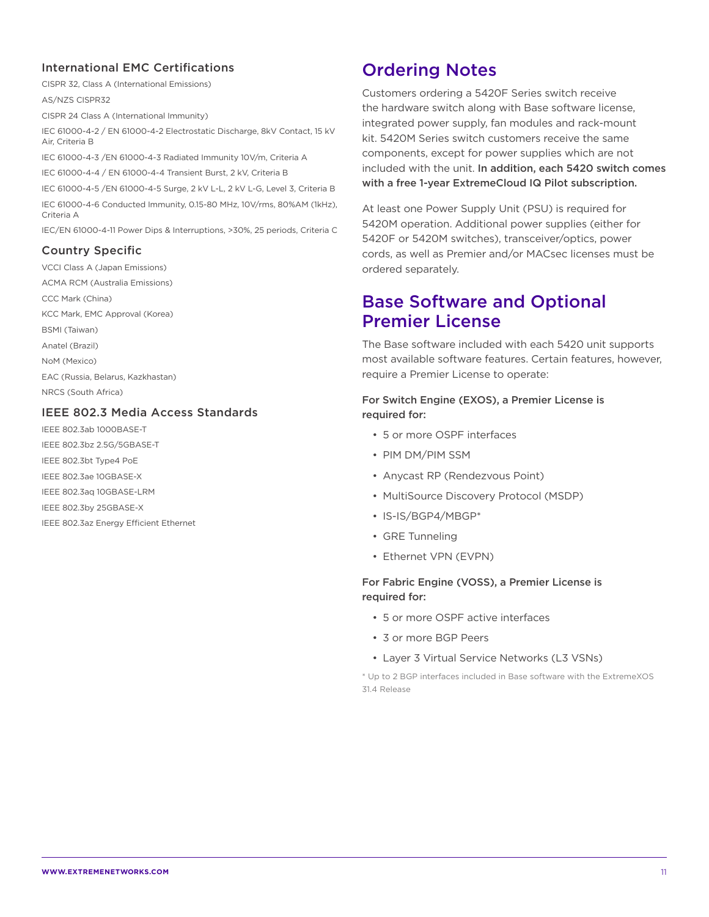#### International EMC Certifications

CISPR 32, Class A (International Emissions)

AS/NZS CISPR32

CISPR 24 Class A (International Immunity)

IEC 61000-4-2 / EN 61000-4-2 Electrostatic Discharge, 8kV Contact, 15 kV Air, Criteria B

IEC 61000-4-3 /EN 61000-4-3 Radiated Immunity 10V/m, Criteria A

IEC 61000-4-4 / EN 61000-4-4 Transient Burst, 2 kV, Criteria B

IEC 61000-4-5 /EN 61000-4-5 Surge, 2 kV L-L, 2 kV L-G, Level 3, Criteria B IEC 61000-4-6 Conducted Immunity, 0.15-80 MHz, 10V/rms, 80%AM (1kHz), Criteria A

IEC/EN 61000-4-11 Power Dips & Interruptions, >30%, 25 periods, Criteria C

#### Country Specific

VCCI Class A (Japan Emissions) ACMA RCM (Australia Emissions) CCC Mark (China) KCC Mark, EMC Approval (Korea) BSMI (Taiwan) Anatel (Brazil) NoM (Mexico) EAC (Russia, Belarus, Kazkhastan) NRCS (South Africa)

#### IEEE 802.3 Media Access Standards

IEEE 802.3ab 1000BASE-T IEEE 802.3bz 2.5G/5GBASE-T IEEE 802.3bt Type4 PoE IEEE 802.3ae 10GBASE-X IEEE 802.3aq 10GBASE-LRM IEEE 802.3by 25GBASE-X IEEE 802.3az Energy Efficient Ethernet

## Ordering Notes

Customers ordering a 5420F Series switch receive the hardware switch along with Base software license, integrated power supply, fan modules and rack-mount kit. 5420M Series switch customers receive the same components, except for power supplies which are not included with the unit. In addition, each 5420 switch comes with a free 1-year ExtremeCloud IQ Pilot subscription.

At least one Power Supply Unit (PSU) is required for 5420M operation. Additional power supplies (either for 5420F or 5420M switches), transceiver/optics, power cords, as well as Premier and/or MACsec licenses must be ordered separately.

### Base Software and Optional Premier License

The Base software included with each 5420 unit supports most available software features. Certain features, however, require a Premier License to operate:

#### For Switch Engine (EXOS), a Premier License is required for:

- 5 or more OSPF interfaces
- PIM DM/PIM SSM
- Anycast RP (Rendezvous Point)
- MultiSource Discovery Protocol (MSDP)
- IS-IS/BGP4/MBGP\*
- GRE Tunneling
- Ethernet VPN (EVPN)

#### For Fabric Engine (VOSS), a Premier License is required for:

- 5 or more OSPF active interfaces
- 3 or more BGP Peers
- Layer 3 Virtual Service Networks (L3 VSNs)

\* Up to 2 BGP interfaces included in Base software with the ExtremeXOS 31.4 Release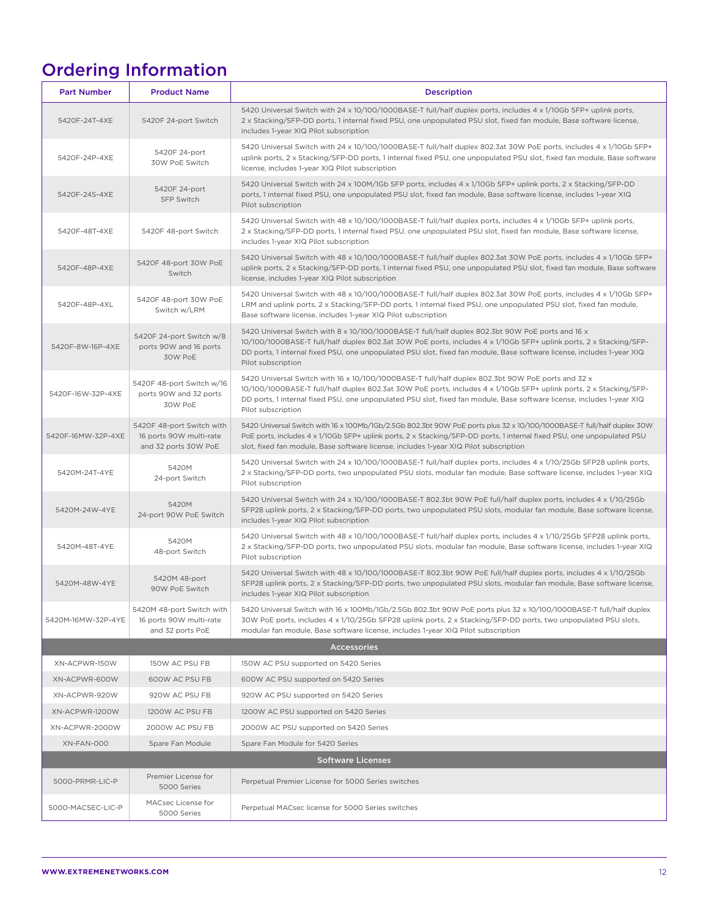# Ordering Information

| <b>Part Number</b>       | <b>Product Name</b>                                                          | <b>Description</b>                                                                                                                                                                                                                                                                                                                                                      |  |  |
|--------------------------|------------------------------------------------------------------------------|-------------------------------------------------------------------------------------------------------------------------------------------------------------------------------------------------------------------------------------------------------------------------------------------------------------------------------------------------------------------------|--|--|
| 5420F-24T-4XE            | 5420F 24-port Switch                                                         | 5420 Universal Switch with 24 x 10/100/1000BASE-T full/half duplex ports, includes 4 x 1/10Gb SFP+ uplink ports,<br>2 x Stacking/SFP-DD ports, 1 internal fixed PSU, one unpopulated PSU slot, fixed fan module, Base software license,<br>includes 1-year XIQ Pilot subscription                                                                                       |  |  |
| 5420F-24P-4XE            | 5420F 24-port<br>30W PoE Switch                                              | 5420 Universal Switch with 24 x 10/100/1000BASE-T full/half duplex 802.3at 30W PoE ports, includes 4 x 1/10Gb SFP+<br>uplink ports, 2 x Stacking/SFP-DD ports, 1 internal fixed PSU, one unpopulated PSU slot, fixed fan module, Base software<br>license, includes 1-year XIQ Pilot subscription                                                                       |  |  |
| 5420F-24S-4XE            | 5420F 24-port<br>SFP Switch                                                  | 5420 Universal Switch with 24 x 100M/1Gb SFP ports, includes 4 x 1/10Gb SFP+ uplink ports, 2 x Stacking/SFP-DD<br>ports, 1 internal fixed PSU, one unpopulated PSU slot, fixed fan module, Base software license, includes 1-year XIQ<br>Pilot subscription                                                                                                             |  |  |
| 5420F-48T-4XE            | 5420F 48-port Switch                                                         | 5420 Universal Switch with 48 x 10/100/1000BASE-T full/half duplex ports, includes 4 x 1/10Gb SFP+ uplink ports,<br>2 x Stacking/SFP-DD ports, 1 internal fixed PSU, one unpopulated PSU slot, fixed fan module, Base software license,<br>includes 1-year XIQ Pilot subscription                                                                                       |  |  |
| 5420F-48P-4XE            | 5420F 48-port 30W PoE<br>Switch                                              | 5420 Universal Switch with 48 x 10/100/1000BASE-T full/half duplex 802.3at 30W PoE ports, includes 4 x 1/10Gb SFP+<br>uplink ports, 2 x Stacking/SFP-DD ports, 1 internal fixed PSU, one unpopulated PSU slot, fixed fan module, Base software<br>license, includes 1-year XIQ Pilot subscription                                                                       |  |  |
| 5420F-48P-4XL            | 5420F 48-port 30W PoE<br>Switch w/LRM                                        | 5420 Universal Switch with 48 x 10/100/1000BASE-T full/half duplex 802.3at 30W PoE ports, includes 4 x 1/10Gb SFP+<br>LRM and uplink ports, 2 x Stacking/SFP-DD ports, 1 internal fixed PSU, one unpopulated PSU slot, fixed fan module,<br>Base software license, includes 1-year XIQ Pilot subscription                                                               |  |  |
| 5420F-8W-16P-4XE         | 5420F 24-port Switch w/8<br>ports 90W and 16 ports<br>30W PoE                | 5420 Universal Switch with 8 x 10/100/1000BASE-T full/half duplex 802.3bt 90W PoE ports and 16 x<br>10/100/1000BASE-T full/half duplex 802.3at 30W PoE ports, includes 4 x 1/10Gb SFP+ uplink ports, 2 x Stacking/SFP-<br>DD ports, 1 internal fixed PSU, one unpopulated PSU slot, fixed fan module, Base software license, includes 1-year XIQ<br>Pilot subscription  |  |  |
| 5420F-16W-32P-4XE        | 5420F 48-port Switch w/16<br>ports 90W and 32 ports<br>30W PoE               | 5420 Universal Switch with 16 x 10/100/1000BASE-T full/half duplex 802.3bt 90W PoE ports and 32 x<br>10/100/1000BASE-T full/half duplex 802.3at 30W PoE ports, includes 4 x 1/10Gb SFP+ uplink ports, 2 x Stacking/SFP-<br>DD ports, 1 internal fixed PSU, one unpopulated PSU slot, fixed fan module, Base software license, includes 1-year XIQ<br>Pilot subscription |  |  |
| 5420F-16MW-32P-4XE       | 5420F 48-port Switch with<br>16 ports 90W multi-rate<br>and 32 ports 30W PoE | 5420 Universal Switch with 16 x 100Mb/1Gb/2.5Gb 802.3bt 90W PoE ports plus 32 x 10/100/1000BASE-T full/half duplex 30W<br>PoE ports, includes 4 x 1/10Gb SFP+ uplink ports, 2 x Stacking/SFP-DD ports, 1 internal fixed PSU, one unpopulated PSU<br>slot, fixed fan module, Base software license, includes 1-year XIQ Pilot subscription                               |  |  |
| 5420M-24T-4YE            | 5420M<br>24-port Switch                                                      | 5420 Universal Switch with 24 x 10/100/1000BASE-T full/half duplex ports, includes 4 x 1/10/25Gb SFP28 uplink ports,<br>2 x Stacking/SFP-DD ports, two unpopulated PSU slots, modular fan module, Base software license, includes 1-year XIQ<br>Pilot subscription                                                                                                      |  |  |
| 5420M-24W-4YE            | 5420M<br>24-port 90W PoE Switch                                              | 5420 Universal Switch with 24 x 10/100/1000BASE-T 802.3bt 90W PoE full/half duplex ports, includes 4 x 1/10/25Gb<br>SFP28 uplink ports, 2 x Stacking/SFP-DD ports, two unpopulated PSU slots, modular fan module, Base software license,<br>includes 1-year XIQ Pilot subscription                                                                                      |  |  |
| 5420M-48T-4YE            | 5420M<br>48-port Switch                                                      | 5420 Universal Switch with 48 x 10/100/1000BASE-T full/half duplex ports, includes 4 x 1/10/25Gb SFP28 uplink ports,<br>2 x Stacking/SFP-DD ports, two unpopulated PSU slots, modular fan module, Base software license, includes 1-year XIQ<br>Pilot subscription                                                                                                      |  |  |
| 5420M-48W-4YE            | 5420M 48-port<br>90W PoE Switch                                              | 5420 Universal Switch with 48 x 10/100/1000BASE-T 802.3bt 90W PoE full/half duplex ports, includes 4 x 1/10/25Gb<br>SFP28 uplink ports, 2 x Stacking/SFP-DD ports, two unpopulated PSU slots, modular fan module, Base software license,<br>includes 1-year XIQ Pilot subscription                                                                                      |  |  |
| 5420M-16MW-32P-4YE       | 5420M 48-port Switch with<br>16 ports 90W multi-rate<br>and 32 ports PoE     | 5420 Universal Switch with 16 x 100Mb/1Gb/2.5Gb 802.3bt 90W PoE ports plus 32 x 10/100/1000BASE-T full/half duplex<br>30W PoE ports, includes 4 x 1/10/25Gb SFP28 uplink ports, 2 x Stacking/SFP-DD ports, two unpopulated PSU slots,<br>modular fan module, Base software license, includes 1-year XIQ Pilot subscription                                              |  |  |
| <b>Accessories</b>       |                                                                              |                                                                                                                                                                                                                                                                                                                                                                         |  |  |
| XN-ACPWR-150W            | 150W AC PSU FB                                                               | 150W AC PSU supported on 5420 Series                                                                                                                                                                                                                                                                                                                                    |  |  |
| XN-ACPWR-600W            | 600W AC PSU FB                                                               | 600W AC PSU supported on 5420 Series                                                                                                                                                                                                                                                                                                                                    |  |  |
| XN-ACPWR-920W            | 920W AC PSU FB                                                               | 920W AC PSU supported on 5420 Series                                                                                                                                                                                                                                                                                                                                    |  |  |
| XN-ACPWR-1200W           | 1200W AC PSU FB                                                              | 1200W AC PSU supported on 5420 Series                                                                                                                                                                                                                                                                                                                                   |  |  |
| XN-ACPWR-2000W           | 2000W AC PSU FB                                                              | 2000W AC PSU supported on 5420 Series                                                                                                                                                                                                                                                                                                                                   |  |  |
| XN-FAN-000               | Spare Fan Module                                                             | Spare Fan Module for 5420 Series                                                                                                                                                                                                                                                                                                                                        |  |  |
| <b>Software Licenses</b> |                                                                              |                                                                                                                                                                                                                                                                                                                                                                         |  |  |
| 5000-PRMR-LIC-P          | Premier License for<br>5000 Series                                           | Perpetual Premier License for 5000 Series switches                                                                                                                                                                                                                                                                                                                      |  |  |
| 5000-MACSEC-LIC-P        | MACsec License for<br>5000 Series                                            | Perpetual MACsec license for 5000 Series switches                                                                                                                                                                                                                                                                                                                       |  |  |